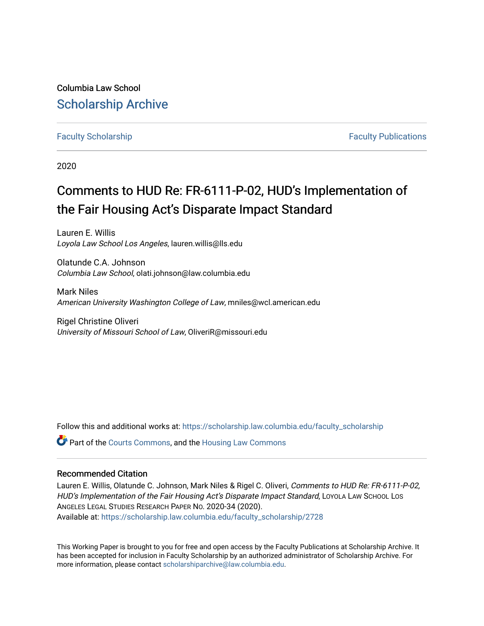Columbia Law School [Scholarship Archive](https://scholarship.law.columbia.edu/) 

# [Faculty Scholarship](https://scholarship.law.columbia.edu/faculty_scholarship) **Faculty Scholarship Faculty Publications**

2020

# Comments to HUD Re: FR-6111-P-02, HUD's Implementation of the Fair Housing Act's Disparate Impact Standard

Lauren E. Willis Loyola Law School Los Angeles, lauren.willis@lls.edu

Olatunde C.A. Johnson Columbia Law School, olati.johnson@law.columbia.edu

Mark Niles American University Washington College of Law, mniles@wcl.american.edu

Rigel Christine Oliveri University of Missouri School of Law, OliveriR@missouri.edu

Follow this and additional works at: [https://scholarship.law.columbia.edu/faculty\\_scholarship](https://scholarship.law.columbia.edu/faculty_scholarship?utm_source=scholarship.law.columbia.edu%2Ffaculty_scholarship%2F2728&utm_medium=PDF&utm_campaign=PDFCoverPages)

**C** Part of the [Courts Commons,](http://network.bepress.com/hgg/discipline/839?utm_source=scholarship.law.columbia.edu%2Ffaculty_scholarship%2F2728&utm_medium=PDF&utm_campaign=PDFCoverPages) and the [Housing Law Commons](http://network.bepress.com/hgg/discipline/846?utm_source=scholarship.law.columbia.edu%2Ffaculty_scholarship%2F2728&utm_medium=PDF&utm_campaign=PDFCoverPages)

### Recommended Citation

Lauren E. Willis, Olatunde C. Johnson, Mark Niles & Rigel C. Oliveri, Comments to HUD Re: FR-6111-P-02, HUD's Implementation of the Fair Housing Act's Disparate Impact Standard, LOYOLA LAW SCHOOL LOS ANGELES LEGAL STUDIES RESEARCH PAPER NO. 2020-34 (2020). Available at: [https://scholarship.law.columbia.edu/faculty\\_scholarship/2728](https://scholarship.law.columbia.edu/faculty_scholarship/2728?utm_source=scholarship.law.columbia.edu%2Ffaculty_scholarship%2F2728&utm_medium=PDF&utm_campaign=PDFCoverPages)

This Working Paper is brought to you for free and open access by the Faculty Publications at Scholarship Archive. It has been accepted for inclusion in Faculty Scholarship by an authorized administrator of Scholarship Archive. For more information, please contact [scholarshiparchive@law.columbia.edu.](mailto:scholarshiparchive@law.columbia.edu)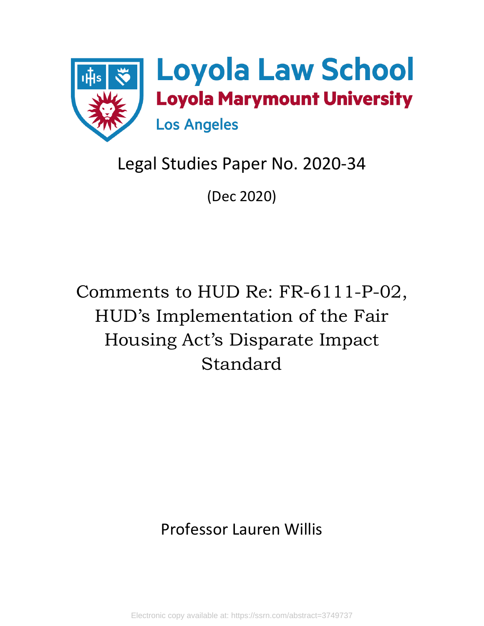

# Legal Studies Paper No. 2020-34

(Dec 2020)

Comments to HUD Re: FR-6111-P-02, HUD's Implementation of the Fair Housing Act's Disparate Impact Standard

# Professor Lauren Willis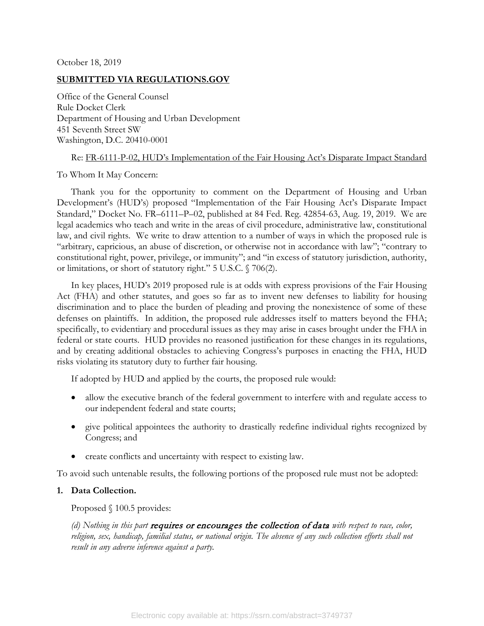October 18, 2019

### **SUBMITTED VIA REGULATIONS.GOV**

Office of the General Counsel Rule Docket Clerk Department of Housing and Urban Development 451 Seventh Street SW Washington, D.C. 20410-0001

#### Re: FR-6111-P-02, HUD's Implementation of the Fair Housing Act's Disparate Impact Standard

To Whom It May Concern:

Thank you for the opportunity to comment on the Department of Housing and Urban Development's (HUD's) proposed "Implementation of the Fair Housing Act's Disparate Impact Standard," Docket No. FR–6111–P–02, published at 84 Fed. Reg. 42854-63, Aug. 19, 2019. We are legal academics who teach and write in the areas of civil procedure, administrative law, constitutional law, and civil rights. We write to draw attention to a number of ways in which the proposed rule is "arbitrary, capricious, an abuse of discretion, or otherwise not in accordance with law"; "contrary to constitutional right, power, privilege, or immunity"; and "in excess of statutory jurisdiction, authority, or limitations, or short of statutory right." 5 U.S.C. § 706(2).

In key places, HUD's 2019 proposed rule is at odds with express provisions of the Fair Housing Act (FHA) and other statutes, and goes so far as to invent new defenses to liability for housing discrimination and to place the burden of pleading and proving the nonexistence of some of these defenses on plaintiffs. In addition, the proposed rule addresses itself to matters beyond the FHA; specifically, to evidentiary and procedural issues as they may arise in cases brought under the FHA in federal or state courts. HUD provides no reasoned justification for these changes in its regulations, and by creating additional obstacles to achieving Congress's purposes in enacting the FHA, HUD risks violating its statutory duty to further fair housing.

If adopted by HUD and applied by the courts, the proposed rule would:

- allow the executive branch of the federal government to interfere with and regulate access to our independent federal and state courts;
- give political appointees the authority to drastically redefine individual rights recognized by Congress; and
- create conflicts and uncertainty with respect to existing law.

To avoid such untenable results, the following portions of the proposed rule must not be adopted:

# **1. Data Collection.**

Proposed § 100.5 provides:

*(d) Nothing in this part* requires or encourages the collection of data *with respect to race, color,*  religion, sex, handicap, familial status, or national origin. The absence of any such collection efforts shall not *result in any adverse inference against a party.*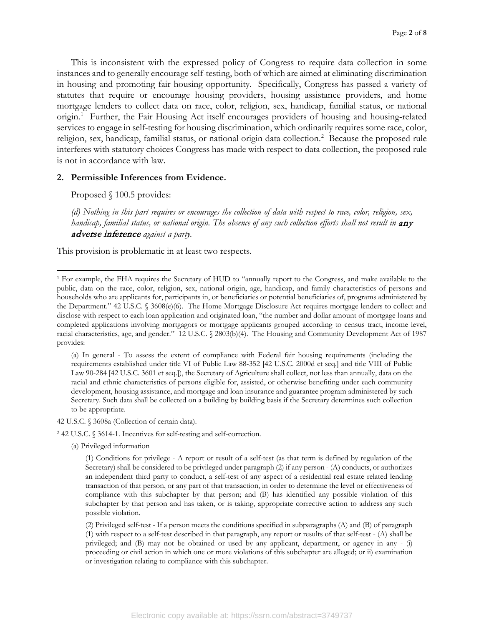This is inconsistent with the expressed policy of Congress to require data collection in some instances and to generally encourage self-testing, both of which are aimed at eliminating discrimination in housing and promoting fair housing opportunity. Specifically, Congress has passed a variety of statutes that require or encourage housing providers, housing assistance providers, and home mortgage lenders to collect data on race, color, religion, sex, handicap, familial status, or national origin.<sup>[1](#page-3-0)</sup> Further, the Fair Housing Act itself encourages providers of housing and housing-related services to engage in self-testing for housing discrimination, which ordinarily requires some race, color, religion, sex, handicap, familial status, or national origin data collection.<sup>2</sup> Because the proposed rule interferes with statutory choices Congress has made with respect to data collection, the proposed rule is not in accordance with law.

#### **2. Permissible Inferences from Evidence.**

Proposed § 100.5 provides:

 $\overline{\phantom{a}}$ 

*(d) Nothing in this part requires or encourages the collection of data with respect to race, color, religion, sex, handicap, familial status, or national origin. The absence of any such collection efforts shall not result in any* adverse inference *against a party.*

This provision is problematic in at least two respects.

- 42 U.S.C. § 3608a (Collection of certain data).
- <span id="page-3-1"></span><sup>2</sup> 42 U.S.C. § 3614-1. Incentives for self-testing and self-correction.
	- (a) Privileged information

<span id="page-3-0"></span><sup>1</sup> For example, the FHA requires the Secretary of HUD to "annually report to the Congress, and make available to the public, data on the race, color, religion, sex, national origin, age, handicap, and family characteristics of persons and households who are applicants for, participants in, or beneficiaries or potential beneficiaries of, programs administered by the Department." 42 U.S.C. § 3608(e)(6). The Home Mortgage Disclosure Act requires mortgage lenders to collect and disclose with respect to each loan application and originated loan, "the number and dollar amount of mortgage loans and completed applications involving mortgagors or mortgage applicants grouped according to census tract, income level, racial characteristics, age, and gender." 12 U.S.C. § 2803(b)(4). The Housing and Community Development Act of 1987 provides:

<sup>(</sup>a) In general - To assess the extent of compliance with Federal fair housing requirements (including the requirements established under title VI of Public Law 88-352 [42 U.S.C. 2000d et seq.] and title VIII of Public Law 90-284 [42 U.S.C. 3601 et seq.]), the Secretary of Agriculture shall collect, not less than annually, data on the racial and ethnic characteristics of persons eligible for, assisted, or otherwise benefiting under each community development, housing assistance, and mortgage and loan insurance and guarantee program administered by such Secretary. Such data shall be collected on a building by building basis if the Secretary determines such collection to be appropriate.

<sup>(1)</sup> Conditions for privilege - A report or result of a self-test (as that term is defined by regulation of the Secretary) shall be considered to be privileged under paragraph (2) if any person - (A) conducts, or authorizes an independent third party to conduct, a self-test of any aspect of a residential real estate related lending transaction of that person, or any part of that transaction, in order to determine the level or effectiveness of compliance with this subchapter by that person; and (B) has identified any possible violation of this subchapter by that person and has taken, or is taking, appropriate corrective action to address any such possible violation.

<sup>(2)</sup> Privileged self-test - If a person meets the conditions specified in subparagraphs (A) and (B) of paragraph (1) with respect to a self-test described in that paragraph, any report or results of that self-test - (A) shall be privileged; and (B) may not be obtained or used by any applicant, department, or agency in any - (i) proceeding or civil action in which one or more violations of this subchapter are alleged; or ii) examination or investigation relating to compliance with this subchapter.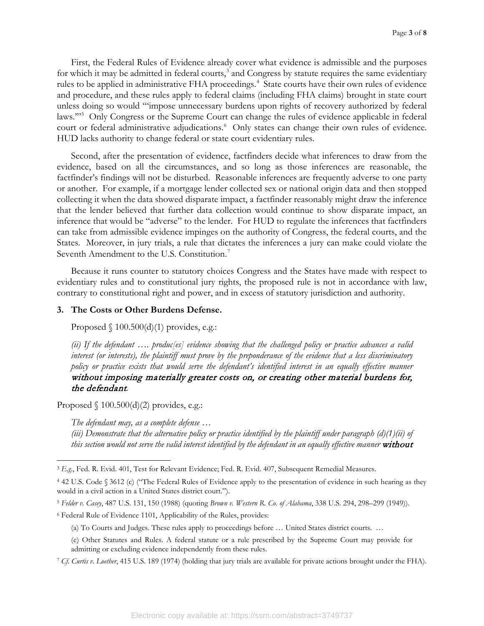First, the Federal Rules of Evidence already cover what evidence is admissible and the purposes for which it may be admitted in federal courts,<sup>[3](#page-4-0)</sup> and Congress by statute requires the same evidentiary rules to be applied in administrative FHA proceedings.<sup>[4](#page-4-1)</sup> State courts have their own rules of evidence and procedure, and these rules apply to federal claims (including FHA claims) brought in state court unless doing so would "'impose unnecessary burdens upon rights of recovery authorized by federal laws."<sup>[5](#page-4-2)</sup> Only Congress or the Supreme Court can change the rules of evidence applicable in federal court or federal administrative adjudications. [6](#page-4-3) Only states can change their own rules of evidence. HUD lacks authority to change federal or state court evidentiary rules.

Second, after the presentation of evidence, factfinders decide what inferences to draw from the evidence, based on all the circumstances, and so long as those inferences are reasonable, the factfinder's findings will not be disturbed. Reasonable inferences are frequently adverse to one party or another. For example, if a mortgage lender collected sex or national origin data and then stopped collecting it when the data showed disparate impact, a factfinder reasonably might draw the inference that the lender believed that further data collection would continue to show disparate impact, an inference that would be "adverse" to the lender. For HUD to regulate the inferences that factfinders can take from admissible evidence impinges on the authority of Congress, the federal courts, and the States. Moreover, in jury trials, a rule that dictates the inferences a jury can make could violate the Seventh Amendment to the U.S. Constitution.<sup>[7](#page-4-4)</sup>

Because it runs counter to statutory choices Congress and the States have made with respect to evidentiary rules and to constitutional jury rights, the proposed rule is not in accordance with law, contrary to constitutional right and power, and in excess of statutory jurisdiction and authority.

### **3. The Costs or Other Burdens Defense.**

Proposed  $\{100.500(d)(1)$  provides, e.g.:

*(ii) If the defendant …. produc[es] evidence showing that the challenged policy or practice advances a valid interest (or interests), the plaintiff must prove by the preponderance of the evidence that a less discriminatory policy or practice exists that would serve the defendant's identified interest in an equally effective manner*  without imposing materially greater costs on, or creating other material burdens for, the defendant*.*

Proposed  $\{100.500(d)(2)$  provides, e.g.:

*The defendant may, as a complete defense …*

*(iii) Demonstrate that the alternative policy or practice identified by the plaintiff under paragraph (d)(1)(ii) of this section would not serve the valid interest identified by the defendant in an equally effective manner* without

<span id="page-4-3"></span><sup>6</sup> Federal Rule of Evidence 1101, Applicability of the Rules, provides:

<span id="page-4-0"></span> $\overline{\phantom{a}}$ <sup>3</sup> E.g., Fed. R. Evid. 401, Test for Relevant Evidence; Fed. R. Evid. 407, Subsequent Remedial Measures.

<span id="page-4-1"></span><sup>4</sup> 42 U.S. Code § 3612 (c) ("The Federal Rules of Evidence apply to the presentation of evidence in such hearing as they would in a civil action in a United States district court.").

<span id="page-4-2"></span><sup>5</sup> *Felder v. Casey*, 487 U.S. 131, 150 (1988) (quoting *Brown v. Western R. Co. of Alabama*, 338 U.S. 294, 298–299 (1949)).

<sup>(</sup>a) To Courts and Judges. These rules apply to proceedings before … United States district courts. …

<sup>(</sup>e) Other Statutes and Rules. A federal statute or a rule prescribed by the Supreme Court may provide for admitting or excluding evidence independently from these rules.

<span id="page-4-4"></span><sup>7</sup> *Cf*. *Curtis v. Loether*, 415 U.S. 189 (1974) (holding that jury trials are available for private actions brought under the FHA).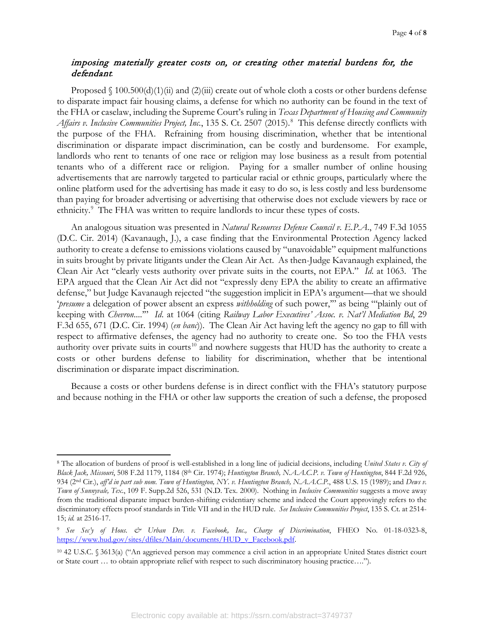# imposing materially greater costs on, or creating other material burdens for, the defendant*.*

Proposed  $\binom{100.500(d)(1)(ii)}{i}$  and  $\binom{2}{ii}$  create out of whole cloth a costs or other burdens defense to disparate impact fair housing claims, a defense for which no authority can be found in the text of the FHA or caselaw, including the Supreme Court's ruling in *Texas Department of Housing and Community Affairs v. Inclusive Communities Project, Inc.*, 135 S. Ct. 2507 (2015). [8](#page-5-0) This defense directly conflicts with the purpose of the FHA. Refraining from housing discrimination, whether that be intentional discrimination or disparate impact discrimination, can be costly and burdensome. For example, landlords who rent to tenants of one race or religion may lose business as a result from potential tenants who of a different race or religion. Paying for a smaller number of online housing advertisements that are narrowly targeted to particular racial or ethnic groups, particularly where the online platform used for the advertising has made it easy to do so, is less costly and less burdensome than paying for broader advertising or advertising that otherwise does not exclude viewers by race or ethnicity.<sup>[9](#page-5-1)</sup> The FHA was written to require landlords to incur these types of costs.

An analogous situation was presented in *Natural Resources Defense Council v. E.P.A*., 749 F.3d 1055 (D.C. Cir. 2014) (Kavanaugh, J.), a case finding that the Environmental Protection Agency lacked authority to create a defense to emissions violations caused by "unavoidable" equipment malfunctions in suits brought by private litigants under the Clean Air Act. As then-Judge Kavanaugh explained, the Clean Air Act "clearly vests authority over private suits in the courts, not EPA." *Id*. at 1063. The EPA argued that the Clean Air Act did not "expressly deny EPA the ability to create an affirmative defense," but Judge Kavanaugh rejected "the suggestion implicit in EPA's argument—that we should '*presume* a delegation of power absent an express *withholding* of such power,'" as being "'plainly out of keeping with *Chevron*....'" *Id*. at 1064 (citing *Railway Labor Executives' Assoc. v. Nat'l Mediation Bd*, 29 F.3d 655, 671 (D.C. Cir. 1994) (*en banc*)). The Clean Air Act having left the agency no gap to fill with respect to affirmative defenses, the agency had no authority to create one. So too the FHA vests authority over private suits in courts<sup>[10](#page-5-2)</sup> and nowhere suggests that HUD has the authority to create a costs or other burdens defense to liability for discrimination, whether that be intentional discrimination or disparate impact discrimination.

Because a costs or other burdens defense is in direct conflict with the FHA's statutory purpose and because nothing in the FHA or other law supports the creation of such a defense, the proposed

 $\overline{a}$ 

<span id="page-5-0"></span><sup>8</sup> The allocation of burdens of proof is well-established in a long line of judicial decisions, including *United States v. City of Black Jack, Missouri*, 508 F.2d 1179, 1184 (8th Cir. 1974); *Huntington Branch, N.A.A.C.P. v. Town of Huntington*, 844 F.2d 926, 934 (2nd Cir.), *aff'd in part sub nom. Town of Huntington, NY. v. Huntington Branch, N.A.A.C.P.*, 488 U.S. 15 (1989); and *Dews v. Town of Sunnyvale, Tex*., 109 F. Supp.2d 526, 531 (N.D. Tex. 2000). Nothing in *Inclusive Communities* suggests a move away from the traditional disparate impact burden-shifting evidentiary scheme and indeed the Court approvingly refers to the discriminatory effects proof standards in Title VII and in the HUD rule. *See Inclusive Communities Project*, 135 S. Ct. at 2514- 15; *id.* at 2516-17.

<span id="page-5-1"></span><sup>9</sup> *See Sec'y of Hous. & Urban Dev. v. Facebook, Inc., Charge of Discrimination*, FHEO No. 01-18-0323-8, [https://www.hud.gov/sites/dfiles/Main/documents/HUD\\_v\\_Facebook.pdf.](https://www.hud.gov/sites/dfiles/Main/documents/HUD_v_Facebook.pdf)

<span id="page-5-2"></span><sup>10</sup> 42 U.S.C. § 3613(a) ("An aggrieved person may commence a civil action in an appropriate United States district court or State court … to obtain appropriate relief with respect to such discriminatory housing practice….").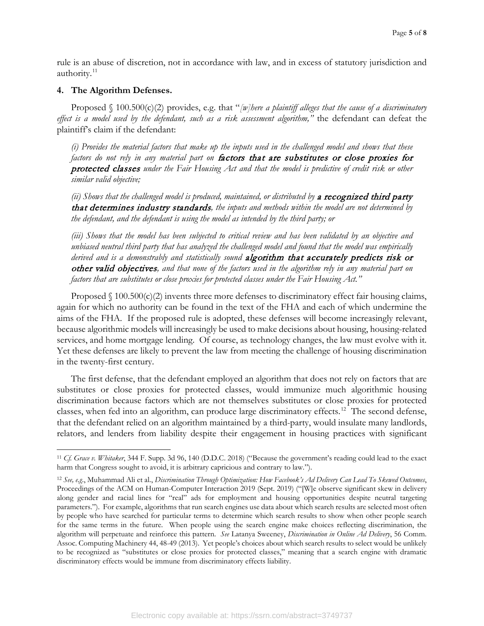rule is an abuse of discretion, not in accordance with law, and in excess of statutory jurisdiction and authority.<sup>[11](#page-6-0)</sup>

#### **4. The Algorithm Defenses.**

l

Proposed  $\binom{8}{100.500(c)(2)}$  provides, e.g. that "*[w]here a plaintiff alleges that the cause of a discriminatory effect is a model used by the defendant, such as a risk assessment algorithm,"* the defendant can defeat the plaintiff's claim if the defendant:

*(i) Provides the material factors that make up the inputs used in the challenged model and shows that these factors do not rely in any material part on* factors that are substitutes or close proxies for protected classes *under the Fair Housing Act and that the model is predictive of credit risk or other similar valid objective;*

(ii) Shows that the challenged model is produced, maintained, or distributed by a recognized third party that determines industry standards*, the inputs and methods within the model are not determined by the defendant, and the defendant is using the model as intended by the third party; or*

*(iii) Shows that the model has been subjected to critical review and has been validated by an objective and unbiased neutral third party that has analyzed the challenged model and found that the model was empirically*  derived and is a demonstrably and statistically sound **algorithm that accurately predicts risk or** other valid objectives*, and that none of the factors used in the algorithm rely in any material part on factors that are substitutes or close proxies for protected classes under the Fair Housing Act."*

Proposed  $\binom{8}{100.500(c)}$  invents three more defenses to discriminatory effect fair housing claims, again for which no authority can be found in the text of the FHA and each of which undermine the aims of the FHA. If the proposed rule is adopted, these defenses will become increasingly relevant, because algorithmic models will increasingly be used to make decisions about housing, housing-related services, and home mortgage lending. Of course, as technology changes, the law must evolve with it. Yet these defenses are likely to prevent the law from meeting the challenge of housing discrimination in the twenty-first century.

The first defense, that the defendant employed an algorithm that does not rely on factors that are substitutes or close proxies for protected classes, would immunize much algorithmic housing discrimination because factors which are not themselves substitutes or close proxies for protected classes, when fed into an algorithm, can produce large discriminatory effects.<sup>12</sup> The second defense, that the defendant relied on an algorithm maintained by a third-party, would insulate many landlords, relators, and lenders from liability despite their engagement in housing practices with significant

<span id="page-6-0"></span><sup>11</sup> *Cf. Grace v. Whitaker*, 344 F. Supp. 3d 96, 140 (D.D.C. 2018) ("Because the government's reading could lead to the exact harm that Congress sought to avoid, it is arbitrary capricious and contrary to law.").

<span id="page-6-1"></span><sup>12</sup> *See, e.g*., Muhammad Ali et al., *Discrimination Through Optimization: How Facebook's Ad Delivery Can Lead To Skewed Outcomes*, Proceedings of the ACM on Human-Computer Interaction 2019 (Sept. 2019) ("[W]e observe significant skew in delivery along gender and racial lines for "real" ads for employment and housing opportunities despite neutral targeting parameters."). For example, algorithms that run search engines use data about which search results are selected most often by people who have searched for particular terms to determine which search results to show when other people search for the same terms in the future. When people using the search engine make choices reflecting discrimination, the algorithm will perpetuate and reinforce this pattern. *See* Latanya Sweeney, *Discrimination in Online Ad Delivery*, 56 Comm. Assoc. Computing Machinery 44, 48-49 (2013). Yet people's choices about which search results to select would be unlikely to be recognized as "substitutes or close proxies for protected classes," meaning that a search engine with dramatic discriminatory effects would be immune from discriminatory effects liability.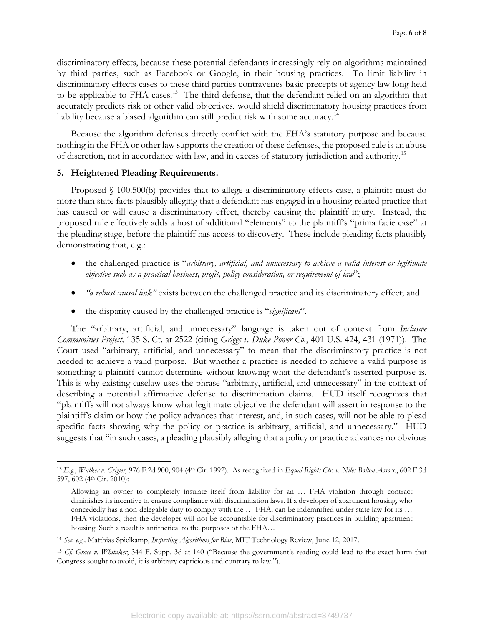discriminatory effects, because these potential defendants increasingly rely on algorithms maintained by third parties, such as Facebook or Google, in their housing practices. To limit liability in discriminatory effects cases to these third parties contravenes basic precepts of agency law long held to be applicable to FHA cases.<sup>[13](#page-7-0)</sup> The third defense, that the defendant relied on an algorithm that accurately predicts risk or other valid objectives, would shield discriminatory housing practices from liability because a biased algorithm can still predict risk with some accuracy. [14](#page-7-1) 

Because the algorithm defenses directly conflict with the FHA's statutory purpose and because nothing in the FHA or other law supports the creation of these defenses, the proposed rule is an abuse of discretion, not in accordance with law, and in excess of statutory jurisdiction and authority.[15](#page-7-2)

#### **5. Heightened Pleading Requirements.**

l

Proposed § 100.500(b) provides that to allege a discriminatory effects case, a plaintiff must do more than state facts plausibly alleging that a defendant has engaged in a housing-related practice that has caused or will cause a discriminatory effect, thereby causing the plaintiff injury. Instead, the proposed rule effectively adds a host of additional "elements" to the plaintiff's "prima facie case" at the pleading stage, before the plaintiff has access to discovery. These include pleading facts plausibly demonstrating that, e.g.:

- the challenged practice is "*arbitrary, artificial, and unnecessary to achieve a valid interest or legitimate objective such as a practical business, profit, policy consideration, or requirement of law*";
- *"a robust causal link"* exists between the challenged practice and its discriminatory effect; and
- the disparity caused by the challenged practice is "*significant*".

The "arbitrary, artificial, and unnecessary" language is taken out of context from *Inclusive Communities Project,* 135 S. Ct. at 2522 (citing *Griggs v. Duke Power Co.*, 401 U.S. 424, 431 (1971)). The Court used "arbitrary, artificial, and unnecessary" to mean that the discriminatory practice is not needed to achieve a valid purpose. But whether a practice is needed to achieve a valid purpose is something a plaintiff cannot determine without knowing what the defendant's asserted purpose is. This is why existing caselaw uses the phrase "arbitrary, artificial, and unnecessary" in the context of describing a potential affirmative defense to discrimination claims. HUD itself recognizes that "plaintiffs will not always know what legitimate objective the defendant will assert in response to the plaintiff's claim or how the policy advances that interest, and, in such cases, will not be able to plead specific facts showing why the policy or practice is arbitrary, artificial, and unnecessary." HUD suggests that "in such cases, a pleading plausibly alleging that a policy or practice advances no obvious

<span id="page-7-0"></span><sup>13</sup> *E.g*., *Walker v. Crigler,* 976 F.2d 900, 904 (4th Cir. 1992). As recognized in *Equal Rights Ctr. v. Niles Bolton Assocs.*, 602 F.3d 597, 602 (4th Cir. 2010):

Allowing an owner to completely insulate itself from liability for an … FHA violation through contract diminishes its incentive to ensure compliance with discrimination laws. If a developer of apartment housing, who concededly has a non-delegable duty to comply with the ... FHA, can be indemnified under state law for its ... FHA violations, then the developer will not be accountable for discriminatory practices in building apartment housing. Such a result is antithetical to the purposes of the FHA…

<span id="page-7-1"></span><sup>14</sup> *See, e.g.,* Matthias Spielkamp, *Inspecting Algorithms for Bias*, MIT Technology Review, June 12, 2017.

<span id="page-7-2"></span><sup>15</sup> *Cf. Grace v. Whitaker*, 344 F. Supp. 3d at 140 ("Because the government's reading could lead to the exact harm that Congress sought to avoid, it is arbitrary capricious and contrary to law.").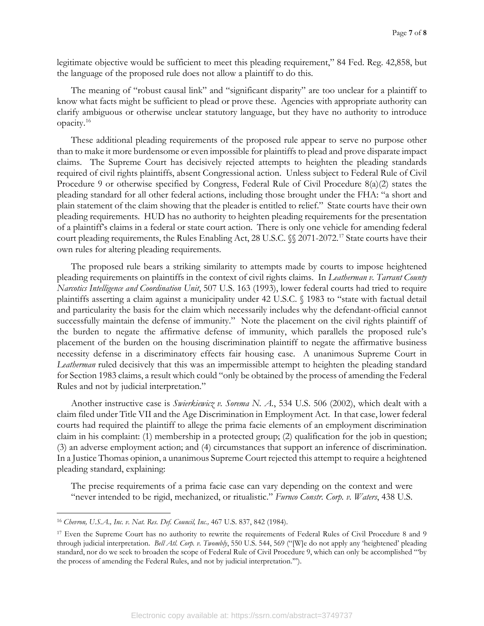legitimate objective would be sufficient to meet this pleading requirement," 84 Fed. Reg. 42,858, but the language of the proposed rule does not allow a plaintiff to do this.

The meaning of "robust causal link" and "significant disparity" are too unclear for a plaintiff to know what facts might be sufficient to plead or prove these. Agencies with appropriate authority can clarify ambiguous or otherwise unclear statutory language, but they have no authority to introduce opacity[.16](#page-8-0)

These additional pleading requirements of the proposed rule appear to serve no purpose other than to make it more burdensome or even impossible for plaintiffs to plead and prove disparate impact claims. The Supreme Court has decisively rejected attempts to heighten the pleading standards required of civil rights plaintiffs, absent Congressional action. Unless subject to Federal Rule of Civil Procedure 9 or otherwise specified by Congress, Federal Rule of Civil Procedure 8(a)(2) states the pleading standard for all other federal actions, including those brought under the FHA: "a short and plain statement of the claim showing that the pleader is entitled to relief." State courts have their own pleading requirements. HUD has no authority to heighten pleading requirements for the presentation of a plaintiff's claims in a federal or state court action. There is only one vehicle for amending federal court pleading requirements, the Rules Enabling Act, 28 U.S.C. §§ 2071-2072.<sup>[17](#page-8-1)</sup> State courts have their own rules for altering pleading requirements.

The proposed rule bears a striking similarity to attempts made by courts to impose heightened pleading requirements on plaintiffs in the context of civil rights claims. In *Leatherman v. Tarrant County Narcotics Intelligence and Coordination Unit*, 507 U.S. 163 (1993), lower federal courts had tried to require plaintiffs asserting a claim against a municipality under 42 U.S.C. § 1983 to "state with factual detail and particularity the basis for the claim which necessarily includes why the defendant-official cannot successfully maintain the defense of immunity." Note the placement on the civil rights plaintiff of the burden to negate the affirmative defense of immunity, which parallels the proposed rule's placement of the burden on the housing discrimination plaintiff to negate the affirmative business necessity defense in a discriminatory effects fair housing case. A unanimous Supreme Court in *Leatherman* ruled decisively that this was an impermissible attempt to heighten the pleading standard for Section 1983 claims, a result which could "only be obtained by the process of amending the Federal Rules and not by judicial interpretation."

Another instructive case is *Swierkiewicz v. Sorema N. A.*, 534 U.S. 506 (2002), which dealt with a claim filed under Title VII and the Age Discrimination in Employment Act. In that case, lower federal courts had required the plaintiff to allege the prima facie elements of an employment discrimination claim in his complaint: (1) membership in a protected group; (2) qualification for the job in question; (3) an adverse employment action; and (4) circumstances that support an inference of discrimination. In a Justice Thomas opinion, a unanimous Supreme Court rejected this attempt to require a heightened pleading standard, explaining:

The precise requirements of a prima facie case can vary depending on the context and were "never intended to be rigid, mechanized, or ritualistic." *Furnco Constr. Corp. v. Waters*, 438 U.S.

 $\overline{\phantom{a}}$ 

<span id="page-8-0"></span><sup>16</sup> *Chevron, U.S.A., Inc. v. Nat. Res. Def. Council, Inc.,* 467 U.S. 837, 842 (1984).

<span id="page-8-1"></span><sup>17</sup> Even the Supreme Court has no authority to rewrite the requirements of Federal Rules of Civil Procedure 8 and 9 through judicial interpretation. *Bell Atl. Corp. v. Twombly*, 550 U.S. 544, 569 ("[W]e do not apply any 'heightened' pleading standard, nor do we seek to broaden the scope of Federal Rule of Civil Procedure 9, which can only be accomplished "'by the process of amending the Federal Rules, and not by judicial interpretation.'").